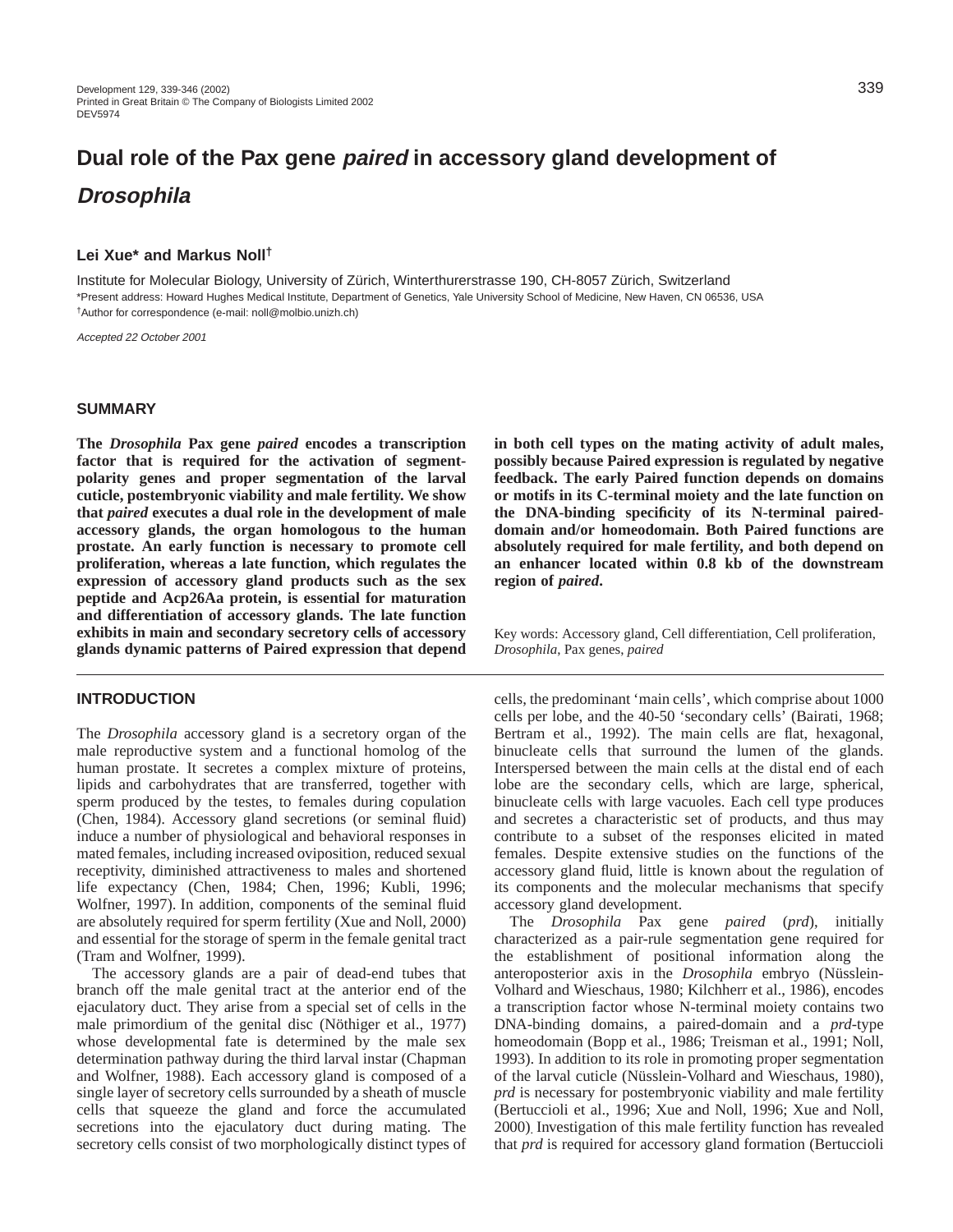# **Dual role of the Pax gene paired in accessory gland development of Drosophila**

# **Lei Xue\* and Markus Noll†**

Institute for Molecular Biology, University of Zürich, Winterthurerstrasse 190, CH-8057 Zürich, Switzerland \*Present address: Howard Hughes Medical Institute, Department of Genetics, Yale University School of Medicine, New Haven, CN 06536, USA †Author for correspondence (e-mail: noll@molbio.unizh.ch)

Accepted 22 October 2001

#### **SUMMARY**

**The** *Drosophila* **Pax gene** *paired* **encodes a transcription factor that is required for the activation of segmentpolarity genes and proper segmentation of the larval cuticle, postembryonic viability and male fertility. We show that** *paired* **executes a dual role in the development of male accessory glands, the organ homologous to the human prostate. An early function is necessary to promote cell proliferation, whereas a late function, which regulates the expression of accessory gland products such as the sex peptide and Acp26Aa protein, is essential for maturation and differentiation of accessory glands. The late function exhibits in main and secondary secretory cells of accessory glands dynamic patterns of Paired expression that depend**

#### **INTRODUCTION**

The *Drosophila* accessory gland is a secretory organ of the male reproductive system and a functional homolog of the human prostate. It secretes a complex mixture of proteins, lipids and carbohydrates that are transferred, together with sperm produced by the testes, to females during copulation (Chen, 1984). Accessory gland secretions (or seminal fluid) induce a number of physiological and behavioral responses in mated females, including increased oviposition, reduced sexual receptivity, diminished attractiveness to males and shortened life expectancy (Chen, 1984; Chen, 1996; Kubli, 1996; Wolfner, 1997). In addition, components of the seminal fluid are absolutely required for sperm fertility (Xue and Noll, 2000) and essential for the storage of sperm in the female genital tract (Tram and Wolfner, 1999).

The accessory glands are a pair of dead-end tubes that branch off the male genital tract at the anterior end of the ejaculatory duct. They arise from a special set of cells in the male primordium of the genital disc (Nöthiger et al., 1977) whose developmental fate is determined by the male sex determination pathway during the third larval instar (Chapman and Wolfner, 1988). Each accessory gland is composed of a single layer of secretory cells surrounded by a sheath of muscle cells that squeeze the gland and force the accumulated secretions into the ejaculatory duct during mating. The secretory cells consist of two morphologically distinct types of **in both cell types on the mating activity of adult males, possibly because Paired expression is regulated by negative feedback. The early Paired function depends on domains or motifs in its C-terminal moiety and the late function on the DNA-binding specificity of its N-terminal paireddomain and/or homeodomain. Both Paired functions are absolutely required for male fertility, and both depend on an enhancer located within 0.8 kb of the downstream region of** *paired***.**

Key words: Accessory gland, Cell differentiation, Cell proliferation, *Drosophila*, Pax genes, *paired*

cells, the predominant 'main cells', which comprise about 1000 cells per lobe, and the 40-50 'secondary cells' (Bairati, 1968; Bertram et al., 1992). The main cells are flat, hexagonal, binucleate cells that surround the lumen of the glands. Interspersed between the main cells at the distal end of each lobe are the secondary cells, which are large, spherical, binucleate cells with large vacuoles. Each cell type produces and secretes a characteristic set of products, and thus may contribute to a subset of the responses elicited in mated females. Despite extensive studies on the functions of the accessory gland fluid, little is known about the regulation of its components and the molecular mechanisms that specify accessory gland development.

The *Drosophila* Pax gene *paired* (*prd*), initially characterized as a pair-rule segmentation gene required for the establishment of positional information along the anteroposterior axis in the *Drosophila* embryo (Nüsslein-Volhard and Wieschaus, 1980; Kilchherr et al., 1986), encodes a transcription factor whose N-terminal moiety contains two DNA-binding domains, a paired-domain and a *prd*-type homeodomain (Bopp et al., 1986; Treisman et al., 1991; Noll, 1993). In addition to its role in promoting proper segmentation of the larval cuticle (Nüsslein-Volhard and Wieschaus, 1980), *prd* is necessary for postembryonic viability and male fertility (Bertuccioli et al., 1996; Xue and Noll, 1996; Xue and Noll, 2000). Investigation of this male fertility function has revealed that *prd* is required for accessory gland formation (Bertuccioli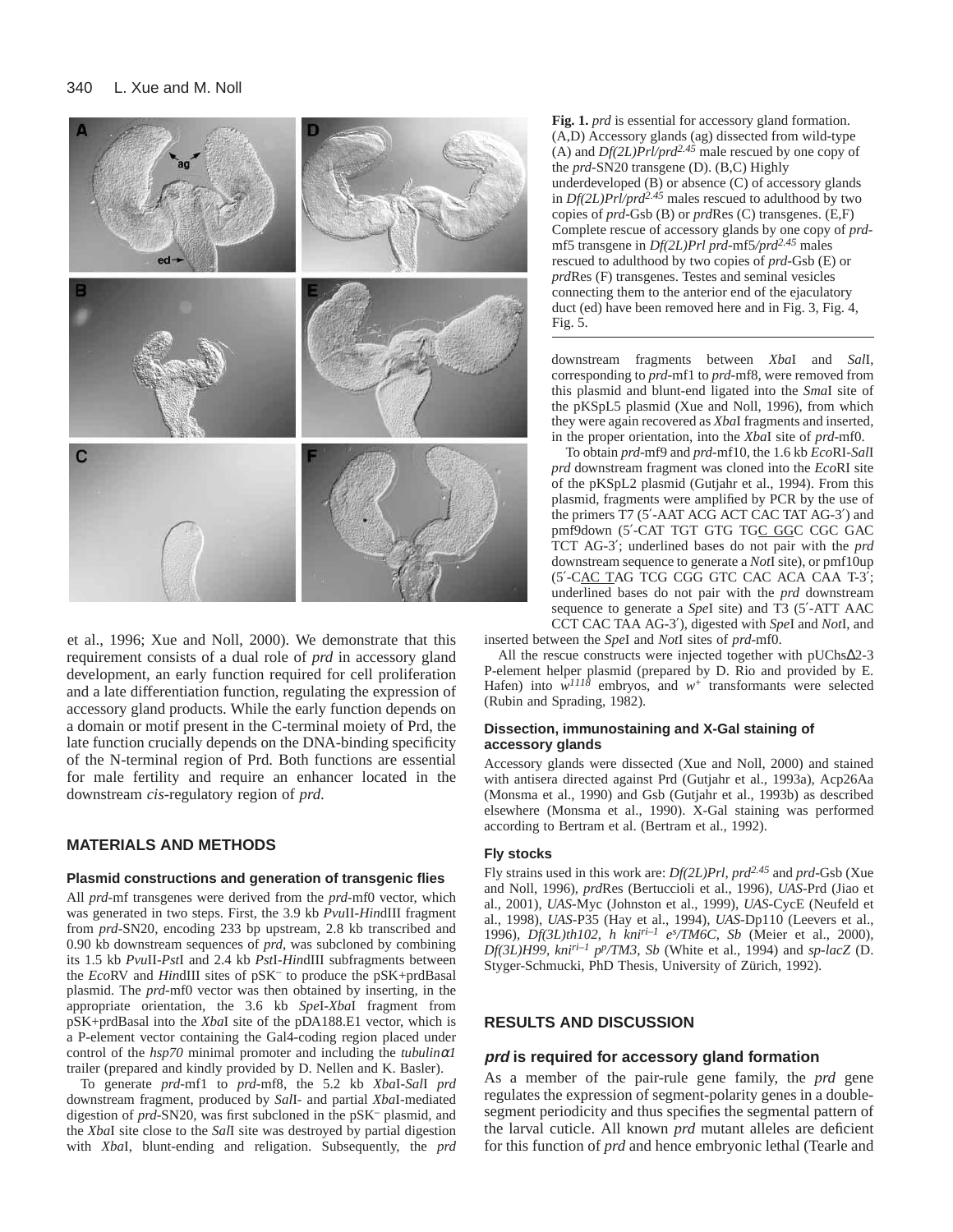

et al., 1996; Xue and Noll, 2000). We demonstrate that this requirement consists of a dual role of *prd* in accessory gland development, an early function required for cell proliferation and a late differentiation function, regulating the expression of accessory gland products. While the early function depends on a domain or motif present in the C-terminal moiety of Prd, the late function crucially depends on the DNA-binding specificity of the N-terminal region of Prd. Both functions are essential for male fertility and require an enhancer located in the downstream *cis*-regulatory region of *prd*.

# **MATERIALS AND METHODS**

#### **Plasmid constructions and generation of transgenic flies**

All *prd*-mf transgenes were derived from the *prd*-mf0 vector, which was generated in two steps. First, the 3.9 kb *Pvu*II-*Hin*dIII fragment from *prd*-SN20, encoding 233 bp upstream, 2.8 kb transcribed and 0.90 kb downstream sequences of *prd*, was subcloned by combining its 1.5 kb *Pvu*II-*Pst*I and 2.4 kb *Pst*I-*Hin*dIII subfragments between the *Eco*RV and *Hin*dIII sites of pSK– to produce the pSK+prdBasal plasmid. The *prd*-mf0 vector was then obtained by inserting, in the appropriate orientation, the 3.6 kb *Spe*I-*Xba*I fragment from pSK+prdBasal into the *Xba*I site of the pDA188.E1 vector, which is a P-element vector containing the Gal4-coding region placed under control of the *hsp70* minimal promoter and including the *tubulin*α*1* trailer (prepared and kindly provided by D. Nellen and K. Basler).

To generate *prd*-mf1 to *prd*-mf8, the 5.2 kb *Xba*I-*Sal*I *prd* downstream fragment, produced by *Sal*I- and partial *Xba*I-mediated digestion of *prd*-SN20, was first subcloned in the pSK– plasmid, and the *Xba*I site close to the *Sal*I site was destroyed by partial digestion with *Xba*I, blunt-ending and religation. Subsequently, the *prd* **Fig. 1.** *prd* is essential for accessory gland formation. (A,D) Accessory glands (ag) dissected from wild-type (A) and *Df(2L)Prl/prd2.45* male rescued by one copy of the *prd*-SN20 transgene (D). (B,C) Highly underdeveloped  $(B)$  or absence  $(C)$  of accessory glands in *Df(2L)Prl/prd2.45* males rescued to adulthood by two copies of *prd*-Gsb (B) or *prd*Res (C) transgenes. (E,F) Complete rescue of accessory glands by one copy of *prd*mf5 transgene in *Df(2L)Prl prd*-mf5*/prd2.45* males rescued to adulthood by two copies of *prd*-Gsb (E) or *prd*Res (F) transgenes. Testes and seminal vesicles connecting them to the anterior end of the ejaculatory duct (ed) have been removed here and in Fig. 3, Fig. 4, Fig. 5.

downstream fragments between *Xba*I and *Sal*I, corresponding to *prd*-mf1 to *prd*-mf8, were removed from this plasmid and blunt-end ligated into the *Sma*I site of the pKSpL5 plasmid (Xue and Noll, 1996), from which they were again recovered as *Xba*I fragments and inserted, in the proper orientation, into the *Xba*I site of *prd*-mf0.

To obtain *prd*-mf9 and *prd*-mf10, the 1.6 kb *Eco*RI-*Sal*I *prd* downstream fragment was cloned into the *Eco*RI site of the pKSpL2 plasmid (Gutjahr et al., 1994). From this plasmid, fragments were amplified by PCR by the use of the primers T7 (5′-AAT ACG ACT CAC TAT AG-3′) and pmf9down (5'-CAT TGT GTG TGC GGC CGC GAC TCT AG-3′; underlined bases do not pair with the *prd* downstream sequence to generate a *Not*I site), or pmf10up (5′-CAC TAG TCG CGG GTC CAC ACA CAA T-3′; underlined bases do not pair with the *prd* downstream sequence to generate a *Spe*I site) and T3 (5′-ATT AAC CCT CAC TAA AG-3′), digested with *Spe*I and *Not*I, and

inserted between the *Spe*I and *Not*I sites of *prd*-mf0.

All the rescue constructs were injected together with pUChs∆2-3 P-element helper plasmid (prepared by D. Rio and provided by E. Hafen) into *w<sup>1118</sup>* embryos, and *w*<sup>+</sup> transformants were selected (Rubin and Sprading, 1982).

#### **Dissection, immunostaining and X-Gal staining of accessory glands**

Accessory glands were dissected (Xue and Noll, 2000) and stained with antisera directed against Prd (Gutjahr et al., 1993a), Acp26Aa (Monsma et al., 1990) and Gsb (Gutjahr et al., 1993b) as described elsewhere (Monsma et al., 1990). X-Gal staining was performed according to Bertram et al. (Bertram et al., 1992).

#### **Fly stocks**

Fly strains used in this work are: *Df(2L)Prl*, *prd2.45* and *prd*-Gsb (Xue and Noll, 1996), *prd*Res (Bertuccioli et al., 1996), *UAS*-Prd (Jiao et al., 2001), *UAS*-Myc (Johnston et al., 1999), *UAS*-CycE (Neufeld et al., 1998), *UAS*-P35 (Hay et al., 1994), *UAS*-Dp110 (Leevers et al., 1996), *Df(3L)th102*, *h kniri–1 es /TM6C*, *Sb* (Meier et al., 2000), *Df(3L)H99*, *kniri–1 pp/TM3*, *Sb* (White et al., 1994) and *sp*-*lacZ* (D. Styger-Schmucki, PhD Thesis, University of Zürich, 1992).

### **RESULTS AND DISCUSSION**

#### **prd is required for accessory gland formation**

As a member of the pair-rule gene family, the *prd* gene regulates the expression of segment-polarity genes in a doublesegment periodicity and thus specifies the segmental pattern of the larval cuticle. All known *prd* mutant alleles are deficient for this function of *prd* and hence embryonic lethal (Tearle and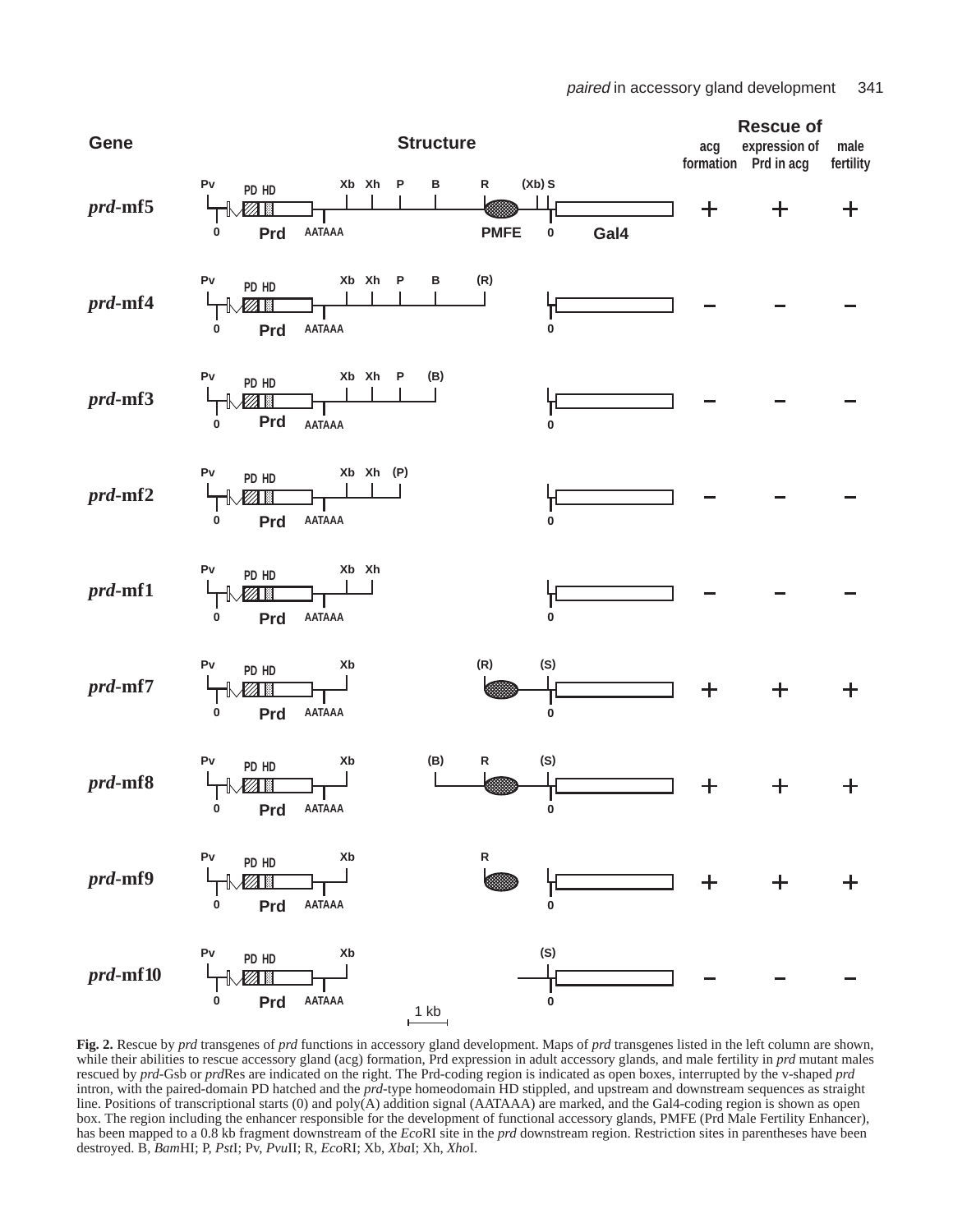

**Fig. 2.** Rescue by *prd* transgenes of *prd* functions in accessory gland development. Maps of *prd* transgenes listed in the left column are shown, while their abilities to rescue accessory gland (acg) formation, Prd expression in adult accessory glands, and male fertility in *prd* mutant males rescued by *prd*-Gsb or *prd*Res are indicated on the right. The Prd-coding region is indicated as open boxes, interrupted by the v-shaped *prd* intron, with the paired-domain PD hatched and the *prd*-type homeodomain HD stippled, and upstream and downstream sequences as straight line. Positions of transcriptional starts (0) and poly(A) addition signal (AATAAA) are marked, and the Gal4-coding region is shown as open box. The region including the enhancer responsible for the development of functional accessory glands, PMFE (Prd Male Fertility Enhancer), has been mapped to a 0.8 kb fragment downstream of the *Eco*RI site in the *prd* downstream region. Restriction sites in parentheses have been destroyed. B, *Bam*HI; P, *Pst*I; Pv, *Pvu*II; R, *Eco*RI; Xb, *Xba*I; Xh, *Xho*I.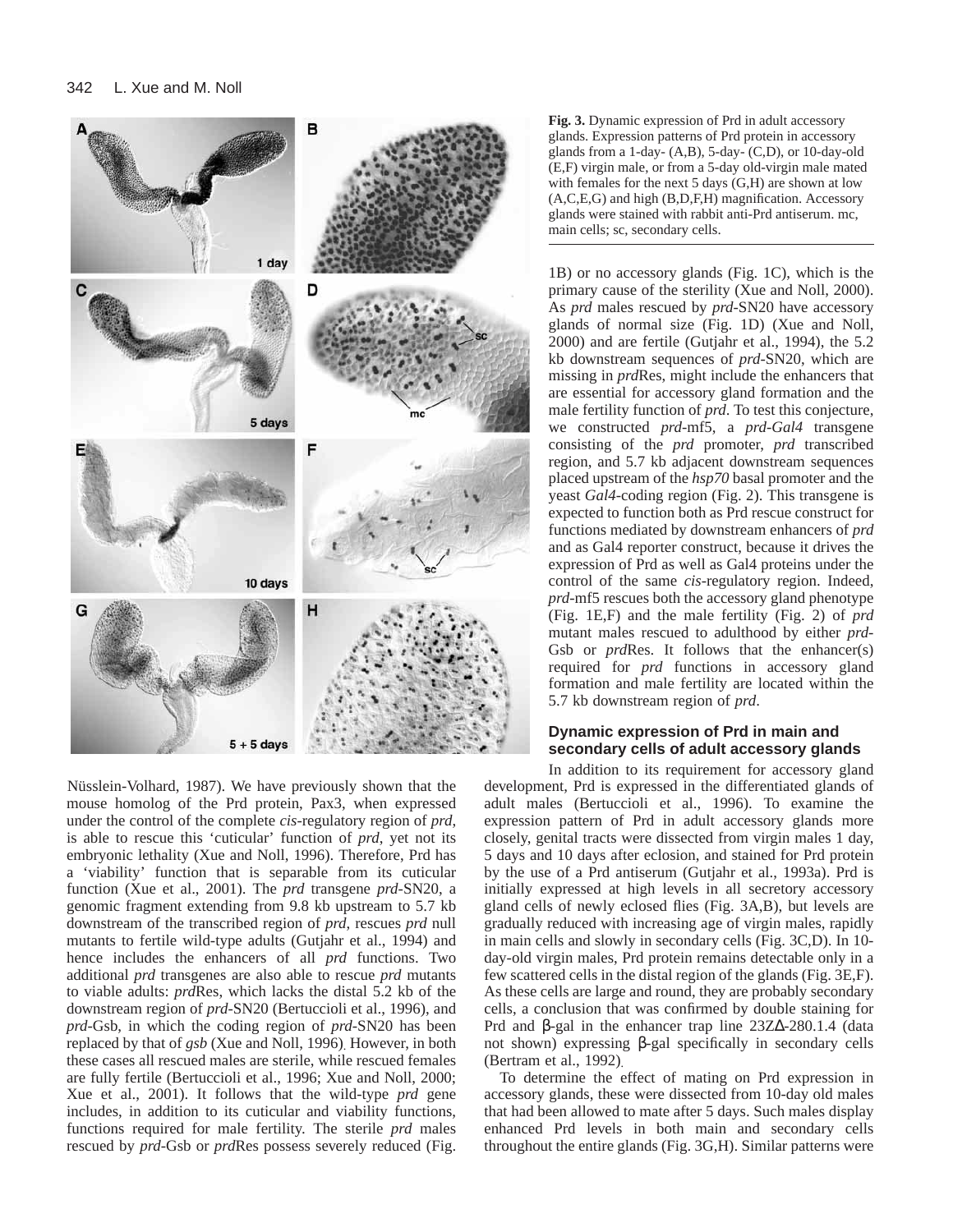

Nüsslein-Volhard, 1987). We have previously shown that the mouse homolog of the Prd protein, Pax3, when expressed under the control of the complete *cis*-regulatory region of *prd*, is able to rescue this 'cuticular' function of *prd*, yet not its embryonic lethality (Xue and Noll, 1996). Therefore, Prd has a 'viability' function that is separable from its cuticular function (Xue et al., 2001). The *prd* transgene *prd*-SN20, a genomic fragment extending from 9.8 kb upstream to 5.7 kb downstream of the transcribed region of *prd*, rescues *prd* null mutants to fertile wild-type adults (Gutjahr et al., 1994) and hence includes the enhancers of all *prd* functions. Two additional *prd* transgenes are also able to rescue *prd* mutants to viable adults: *prd*Res, which lacks the distal 5.2 kb of the downstream region of *prd*-SN20 (Bertuccioli et al., 1996), and *prd*-Gsb, in which the coding region of *prd*-SN20 has been replaced by that of *gsb* (Xue and Noll, 1996). However, in both these cases all rescued males are sterile, while rescued females are fully fertile (Bertuccioli et al., 1996; Xue and Noll, 2000; Xue et al., 2001). It follows that the wild-type *prd* gene includes, in addition to its cuticular and viability functions, functions required for male fertility. The sterile *prd* males rescued by *prd*-Gsb or *prd*Res possess severely reduced (Fig.

**Fig. 3.** Dynamic expression of Prd in adult accessory glands. Expression patterns of Prd protein in accessory glands from a 1-day- (A,B), 5-day- (C,D), or 10-day-old (E,F) virgin male, or from a 5-day old-virgin male mated with females for the next 5 days (G,H) are shown at low (A,C,E,G) and high (B,D,F,H) magnification. Accessory glands were stained with rabbit anti-Prd antiserum. mc, main cells; sc, secondary cells.

1B) or no accessory glands (Fig. 1C), which is the primary cause of the sterility (Xue and Noll, 2000). As *prd* males rescued by *prd*-SN20 have accessory glands of normal size (Fig. 1D) (Xue and Noll, 2000) and are fertile (Gutjahr et al., 1994), the 5.2 kb downstream sequences of *prd*-SN20, which are missing in *prd*Res, might include the enhancers that are essential for accessory gland formation and the male fertility function of *prd*. To test this conjecture, we constructed *prd*-mf5, a *prd-Gal4* transgene consisting of the *prd* promoter, *prd* transcribed region, and 5.7 kb adjacent downstream sequences placed upstream of the *hsp70* basal promoter and the yeast *Gal4*-coding region (Fig. 2). This transgene is expected to function both as Prd rescue construct for functions mediated by downstream enhancers of *prd* and as Gal4 reporter construct, because it drives the expression of Prd as well as Gal4 proteins under the control of the same *cis*-regulatory region. Indeed, *prd*-mf5 rescues both the accessory gland phenotype (Fig. 1E,F) and the male fertility (Fig. 2) of *prd* mutant males rescued to adulthood by either *prd*-Gsb or *prd*Res. It follows that the enhancer(s) required for *prd* functions in accessory gland formation and male fertility are located within the 5.7 kb downstream region of *prd*.

# **Dynamic expression of Prd in main and secondary cells of adult accessory glands**

In addition to its requirement for accessory gland development, Prd is expressed in the differentiated glands of adult males (Bertuccioli et al., 1996). To examine the expression pattern of Prd in adult accessory glands more closely, genital tracts were dissected from virgin males 1 day, 5 days and 10 days after eclosion, and stained for Prd protein by the use of a Prd antiserum (Gutjahr et al., 1993a). Prd is initially expressed at high levels in all secretory accessory gland cells of newly eclosed flies (Fig. 3A,B), but levels are gradually reduced with increasing age of virgin males, rapidly in main cells and slowly in secondary cells (Fig. 3C,D). In 10 day-old virgin males, Prd protein remains detectable only in a few scattered cells in the distal region of the glands (Fig. 3E,F). As these cells are large and round, they are probably secondary cells, a conclusion that was confirmed by double staining for Prd and β-gal in the enhancer trap line 23Z∆-280.1.4 (data not shown) expressing β-gal specifically in secondary cells (Bertram et al., 1992).

To determine the effect of mating on Prd expression in accessory glands, these were dissected from 10-day old males that had been allowed to mate after 5 days. Such males display enhanced Prd levels in both main and secondary cells throughout the entire glands (Fig. 3G,H). Similar patterns were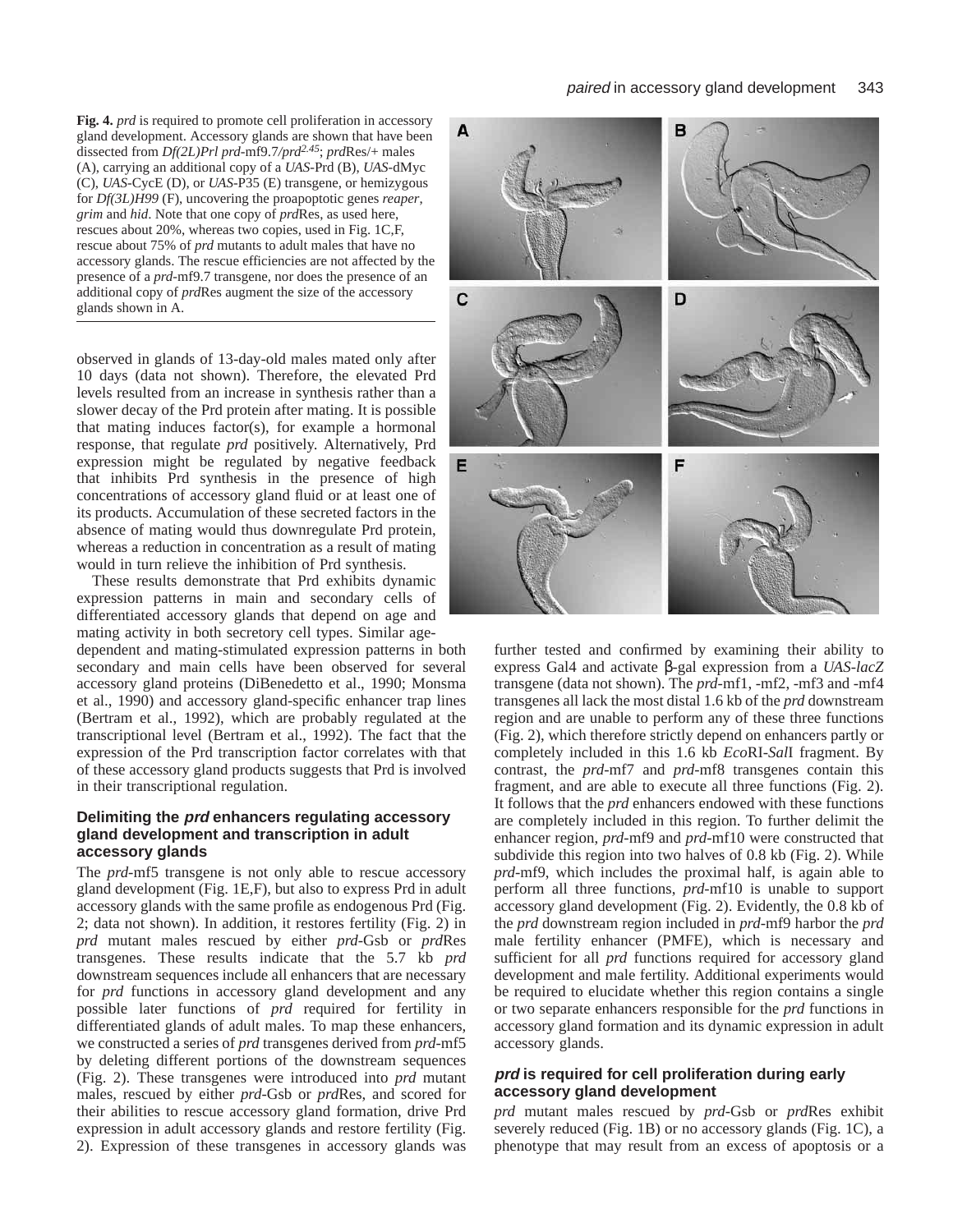**Fig. 4.** *prd* is required to promote cell proliferation in accessory gland development. Accessory glands are shown that have been dissected from *Df(2L)Prl prd*-mf9.7*/prd2.45*; *prd*Res/+ males (A), carrying an additional copy of a *UAS*-Prd (B), *UAS*-dMyc (C), *UAS*-CycE (D), or *UAS*-P35 (E) transgene, or hemizygous for *Df(3L)H99* (F), uncovering the proapoptotic genes *reaper*, *grim* and *hid*. Note that one copy of *prd*Res, as used here, rescues about 20%, whereas two copies, used in Fig. 1C,F, rescue about 75% of *prd* mutants to adult males that have no accessory glands. The rescue efficiencies are not affected by the presence of a *prd*-mf9.7 transgene, nor does the presence of an additional copy of *prd*Res augment the size of the accessory glands shown in A.

observed in glands of 13-day-old males mated only after 10 days (data not shown). Therefore, the elevated Prd levels resulted from an increase in synthesis rather than a slower decay of the Prd protein after mating. It is possible that mating induces factor(s), for example a hormonal response, that regulate *prd* positively. Alternatively, Prd expression might be regulated by negative feedback that inhibits Prd synthesis in the presence of high concentrations of accessory gland fluid or at least one of its products. Accumulation of these secreted factors in the absence of mating would thus downregulate Prd protein, whereas a reduction in concentration as a result of mating would in turn relieve the inhibition of Prd synthesis.

These results demonstrate that Prd exhibits dynamic expression patterns in main and secondary cells of differentiated accessory glands that depend on age and mating activity in both secretory cell types. Similar age-

dependent and mating-stimulated expression patterns in both secondary and main cells have been observed for several accessory gland proteins (DiBenedetto et al., 1990; Monsma et al., 1990) and accessory gland-specific enhancer trap lines (Bertram et al., 1992), which are probably regulated at the transcriptional level (Bertram et al., 1992). The fact that the expression of the Prd transcription factor correlates with that of these accessory gland products suggests that Prd is involved in their transcriptional regulation.

## **Delimiting the prd enhancers regulating accessory gland development and transcription in adult accessory glands**

The *prd*-mf5 transgene is not only able to rescue accessory gland development (Fig. 1E,F), but also to express Prd in adult accessory glands with the same profile as endogenous Prd (Fig. 2; data not shown). In addition, it restores fertility (Fig. 2) in *prd* mutant males rescued by either *prd*-Gsb or *prd*Res transgenes. These results indicate that the 5.7 kb *prd* downstream sequences include all enhancers that are necessary for *prd* functions in accessory gland development and any possible later functions of *prd* required for fertility in differentiated glands of adult males. To map these enhancers, we constructed a series of *prd* transgenes derived from *prd*-mf5 by deleting different portions of the downstream sequences (Fig. 2). These transgenes were introduced into *prd* mutant males, rescued by either *prd*-Gsb or *prd*Res, and scored for their abilities to rescue accessory gland formation, drive Prd expression in adult accessory glands and restore fertility (Fig. 2). Expression of these transgenes in accessory glands was



further tested and confirmed by examining their ability to express Gal4 and activate β-gal expression from a *UAS-lacZ* transgene (data not shown). The *prd*-mf1, -mf2, -mf3 and -mf4 transgenes all lack the most distal 1.6 kb of the *prd* downstream region and are unable to perform any of these three functions (Fig. 2), which therefore strictly depend on enhancers partly or completely included in this 1.6 kb *Eco*RI-*Sal*I fragment. By contrast, the *prd*-mf7 and *prd*-mf8 transgenes contain this fragment, and are able to execute all three functions (Fig. 2). It follows that the *prd* enhancers endowed with these functions are completely included in this region. To further delimit the enhancer region, *prd*-mf9 and *prd*-mf10 were constructed that subdivide this region into two halves of 0.8 kb (Fig. 2). While *prd*-mf9, which includes the proximal half, is again able to perform all three functions, *prd*-mf10 is unable to support accessory gland development (Fig. 2). Evidently, the 0.8 kb of the *prd* downstream region included in *prd*-mf9 harbor the *prd* male fertility enhancer (PMFE), which is necessary and sufficient for all *prd* functions required for accessory gland development and male fertility. Additional experiments would be required to elucidate whether this region contains a single or two separate enhancers responsible for the *prd* functions in accessory gland formation and its dynamic expression in adult accessory glands.

### **prd is required for cell proliferation during early accessory gland development**

*prd* mutant males rescued by *prd*-Gsb or *prd*Res exhibit severely reduced (Fig. 1B) or no accessory glands (Fig. 1C), a phenotype that may result from an excess of apoptosis or a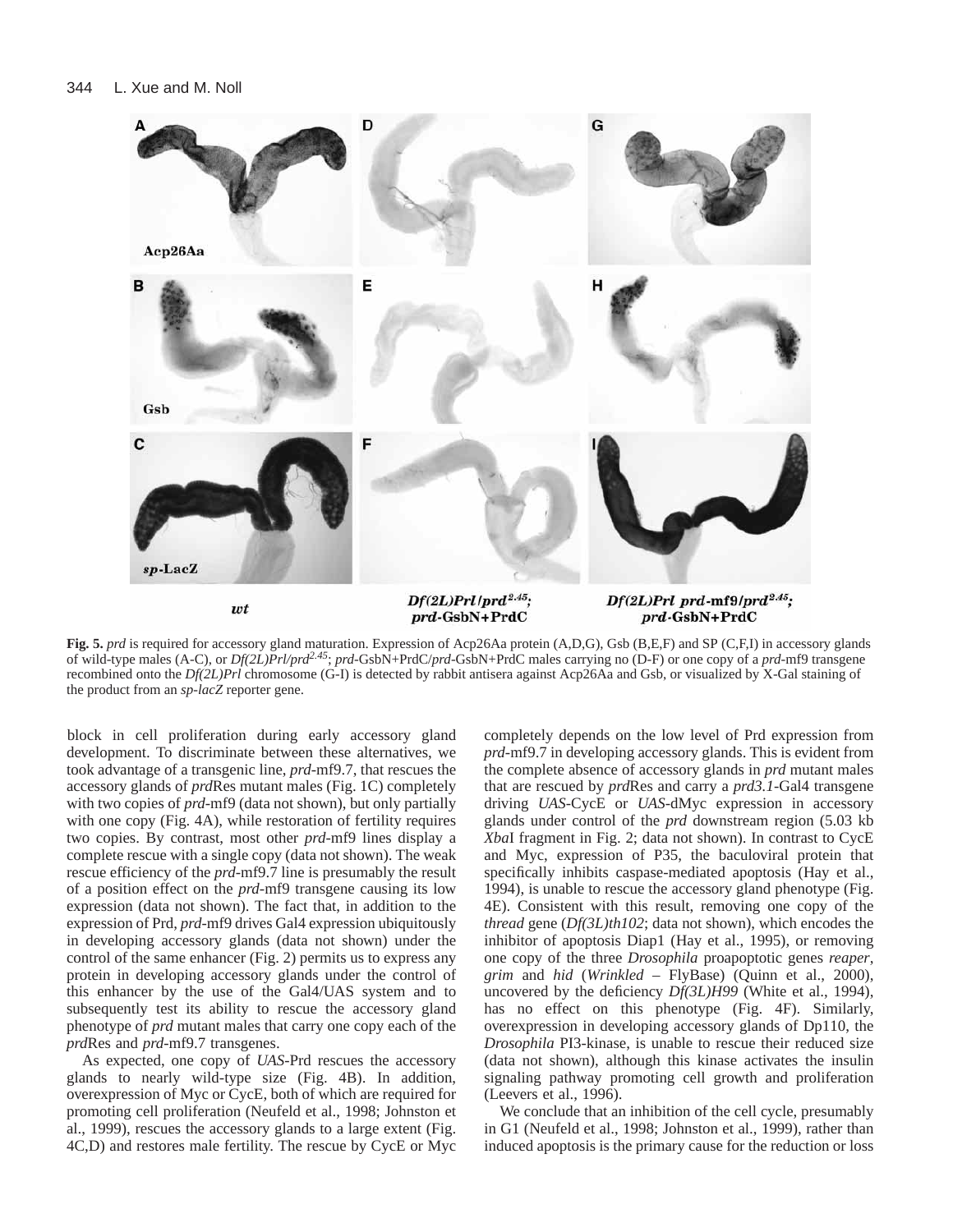

**Fig. 5.** *prd* is required for accessory gland maturation. Expression of Acp26Aa protein (A,D,G), Gsb (B,E,F) and SP (C,F,I) in accessory glands of wild-type males (A-C), or *Df(2L)Prl/prd2.45*; *prd*-GsbN+PrdC/*prd*-GsbN+PrdC males carrying no (D-F) or one copy of a *prd*-mf9 transgene recombined onto the *Df(2L)Prl* chromosome (G-I) is detected by rabbit antisera against Acp26Aa and Gsb, or visualized by X-Gal staining of the product from an *sp*-*lacZ* reporter gene.

block in cell proliferation during early accessory gland development. To discriminate between these alternatives, we took advantage of a transgenic line, *prd*-mf9.7, that rescues the accessory glands of *prd*Res mutant males (Fig. 1C) completely with two copies of *prd*-mf9 (data not shown), but only partially with one copy (Fig. 4A), while restoration of fertility requires two copies. By contrast, most other *prd*-mf9 lines display a complete rescue with a single copy (data not shown). The weak rescue efficiency of the *prd*-mf9.7 line is presumably the result of a position effect on the *prd*-mf9 transgene causing its low expression (data not shown). The fact that, in addition to the expression of Prd, *prd*-mf9 drives Gal4 expression ubiquitously in developing accessory glands (data not shown) under the control of the same enhancer (Fig. 2) permits us to express any protein in developing accessory glands under the control of this enhancer by the use of the Gal4/UAS system and to subsequently test its ability to rescue the accessory gland phenotype of *prd* mutant males that carry one copy each of the *prd*Res and *prd*-mf9.7 transgenes.

As expected, one copy of *UAS*-Prd rescues the accessory glands to nearly wild-type size (Fig. 4B). In addition, overexpression of Myc or CycE, both of which are required for promoting cell proliferation (Neufeld et al., 1998; Johnston et al., 1999), rescues the accessory glands to a large extent (Fig. 4C,D) and restores male fertility. The rescue by CycE or Myc

completely depends on the low level of Prd expression from *prd*-mf9.7 in developing accessory glands. This is evident from the complete absence of accessory glands in *prd* mutant males that are rescued by *prd*Res and carry a *prd3.1*-Gal4 transgene driving *UAS*-CycE or *UAS*-dMyc expression in accessory glands under control of the *prd* downstream region (5.03 kb *Xba*I fragment in Fig. 2; data not shown). In contrast to CycE and Myc, expression of P35, the baculoviral protein that specifically inhibits caspase-mediated apoptosis (Hay et al., 1994), is unable to rescue the accessory gland phenotype (Fig. 4E). Consistent with this result, removing one copy of the *thread* gene (*Df(3L)th102*; data not shown), which encodes the inhibitor of apoptosis Diap1 (Hay et al., 1995), or removing one copy of the three *Drosophila* proapoptotic genes *reaper*, *grim* and *hid* (*Wrinkled* – FlyBase) (Quinn et al., 2000), uncovered by the deficiency *Df(3L)H99* (White et al., 1994), has no effect on this phenotype (Fig. 4F). Similarly, overexpression in developing accessory glands of Dp110, the *Drosophila* PI3-kinase, is unable to rescue their reduced size (data not shown), although this kinase activates the insulin signaling pathway promoting cell growth and proliferation (Leevers et al., 1996).

We conclude that an inhibition of the cell cycle, presumably in G1 (Neufeld et al., 1998; Johnston et al., 1999), rather than induced apoptosis is the primary cause for the reduction or loss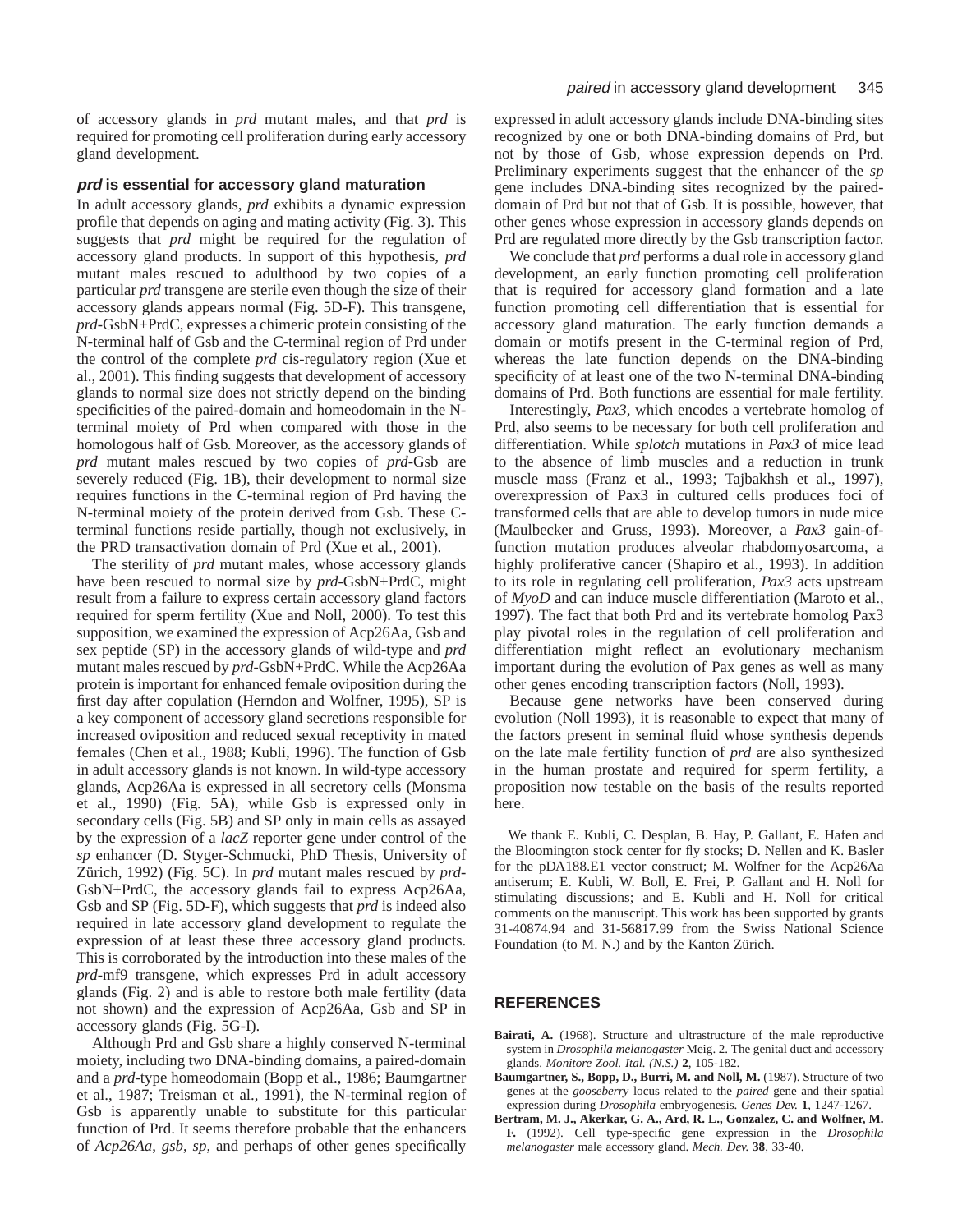of accessory glands in *prd* mutant males, and that *prd* is required for promoting cell proliferation during early accessory gland development.

#### **prd is essential for accessory gland maturation**

In adult accessory glands, *prd* exhibits a dynamic expression profile that depends on aging and mating activity (Fig. 3). This suggests that *prd* might be required for the regulation of accessory gland products. In support of this hypothesis, *prd* mutant males rescued to adulthood by two copies of a particular *prd* transgene are sterile even though the size of their accessory glands appears normal (Fig. 5D-F). This transgene, *prd*-GsbN+PrdC, expresses a chimeric protein consisting of the N-terminal half of Gsb and the C-terminal region of Prd under the control of the complete *prd* cis-regulatory region (Xue et al., 2001). This finding suggests that development of accessory glands to normal size does not strictly depend on the binding specificities of the paired-domain and homeodomain in the Nterminal moiety of Prd when compared with those in the homologous half of Gsb. Moreover, as the accessory glands of *prd* mutant males rescued by two copies of *prd*-Gsb are severely reduced (Fig. 1B), their development to normal size requires functions in the C-terminal region of Prd having the N-terminal moiety of the protein derived from Gsb. These Cterminal functions reside partially, though not exclusively, in the PRD transactivation domain of Prd (Xue et al., 2001).

The sterility of *prd* mutant males, whose accessory glands have been rescued to normal size by *prd*-GsbN+PrdC, might result from a failure to express certain accessory gland factors required for sperm fertility (Xue and Noll, 2000). To test this supposition, we examined the expression of Acp26Aa, Gsb and sex peptide (SP) in the accessory glands of wild-type and *prd* mutant males rescued by *prd*-GsbN+PrdC. While the Acp26Aa protein is important for enhanced female oviposition during the first day after copulation (Herndon and Wolfner, 1995), SP is a key component of accessory gland secretions responsible for increased oviposition and reduced sexual receptivity in mated females (Chen et al., 1988; Kubli, 1996). The function of Gsb in adult accessory glands is not known. In wild-type accessory glands, Acp26Aa is expressed in all secretory cells (Monsma et al., 1990) (Fig. 5A), while Gsb is expressed only in secondary cells (Fig. 5B) and SP only in main cells as assayed by the expression of a *lacZ* reporter gene under control of the *sp* enhancer (D. Styger-Schmucki, PhD Thesis, University of Zürich, 1992) (Fig. 5C). In *prd* mutant males rescued by *prd*-GsbN+PrdC, the accessory glands fail to express Acp26Aa, Gsb and SP (Fig. 5D-F), which suggests that *prd* is indeed also required in late accessory gland development to regulate the expression of at least these three accessory gland products. This is corroborated by the introduction into these males of the *prd*-mf9 transgene, which expresses Prd in adult accessory glands (Fig. 2) and is able to restore both male fertility (data not shown) and the expression of Acp26Aa, Gsb and SP in accessory glands (Fig. 5G-I).

Although Prd and Gsb share a highly conserved N-terminal moiety, including two DNA-binding domains, a paired-domain and a *prd*-type homeodomain (Bopp et al., 1986; Baumgartner et al., 1987; Treisman et al., 1991), the N-terminal region of Gsb is apparently unable to substitute for this particular function of Prd. It seems therefore probable that the enhancers of *Acp26Aa*, *gsb*, *sp*, and perhaps of other genes specifically

expressed in adult accessory glands include DNA-binding sites recognized by one or both DNA-binding domains of Prd, but not by those of Gsb, whose expression depends on Prd. Preliminary experiments suggest that the enhancer of the *sp* gene includes DNA-binding sites recognized by the paireddomain of Prd but not that of Gsb. It is possible, however, that other genes whose expression in accessory glands depends on Prd are regulated more directly by the Gsb transcription factor.

We conclude that *prd* performs a dual role in accessory gland development, an early function promoting cell proliferation that is required for accessory gland formation and a late function promoting cell differentiation that is essential for accessory gland maturation. The early function demands a domain or motifs present in the C-terminal region of Prd, whereas the late function depends on the DNA-binding specificity of at least one of the two N-terminal DNA-binding domains of Prd. Both functions are essential for male fertility.

Interestingly, *Pax3*, which encodes a vertebrate homolog of Prd, also seems to be necessary for both cell proliferation and differentiation. While *splotch* mutations in *Pax3* of mice lead to the absence of limb muscles and a reduction in trunk muscle mass (Franz et al., 1993; Tajbakhsh et al., 1997), overexpression of Pax3 in cultured cells produces foci of transformed cells that are able to develop tumors in nude mice (Maulbecker and Gruss, 1993). Moreover, a *Pax3* gain-offunction mutation produces alveolar rhabdomyosarcoma, a highly proliferative cancer (Shapiro et al., 1993). In addition to its role in regulating cell proliferation, *Pax3* acts upstream of *MyoD* and can induce muscle differentiation (Maroto et al., 1997). The fact that both Prd and its vertebrate homolog Pax3 play pivotal roles in the regulation of cell proliferation and differentiation might reflect an evolutionary mechanism important during the evolution of Pax genes as well as many other genes encoding transcription factors (Noll, 1993).

Because gene networks have been conserved during evolution (Noll 1993), it is reasonable to expect that many of the factors present in seminal fluid whose synthesis depends on the late male fertility function of *prd* are also synthesized in the human prostate and required for sperm fertility, a proposition now testable on the basis of the results reported here.

We thank E. Kubli, C. Desplan, B. Hay, P. Gallant, E. Hafen and the Bloomington stock center for fly stocks; D. Nellen and K. Basler for the pDA188.E1 vector construct; M. Wolfner for the Acp26Aa antiserum; E. Kubli, W. Boll, E. Frei, P. Gallant and H. Noll for stimulating discussions; and E. Kubli and H. Noll for critical comments on the manuscript. This work has been supported by grants 31-40874.94 and 31-56817.99 from the Swiss National Science Foundation (to M. N.) and by the Kanton Zürich.

# **REFERENCES**

- **Bairati, A.** (1968). Structure and ultrastructure of the male reproductive system in *Drosophila melanogaster* Meig. 2. The genital duct and accessory glands. *Monitore Zool. Ital. (N.S.)* **2**, 105-182.
- **Baumgartner, S., Bopp, D., Burri, M. and Noll, M.** (1987). Structure of two genes at the *gooseberry* locus related to the *paired* gene and their spatial expression during *Drosophila* embryogenesis. *Genes Dev.* **1**, 1247-1267.
- **Bertram, M. J., Akerkar, G. A., Ard, R. L., Gonzalez, C. and Wolfner, M. F.** (1992). Cell type-specific gene expression in the *Drosophila melanogaster* male accessory gland. *Mech. Dev.* **38**, 33-40.